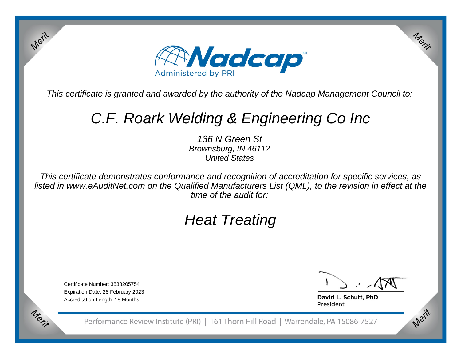

This certificate is granted and awarded by the authority of the Nadcap Management Council to:

# C.F. Roark Welding & Engineering Co Inc

136 N Green St Brownsburg, IN 46112United States

This certificate demonstrates conformance and recognition of accreditation for specific services, as listed in www.eAuditNet.com on the Qualified Manufacturers List (QML), to the revision in effect at thetime of the audit for:

## Heat Treating

Certificate Number: 3538205754 Expiration Date: 28 February 2023Accreditation Length: 18 Months

Merit

Merit

Merit

Merit

David L. Schutt, PhD President

Performance Review Institute (PRI) | 161 Thorn Hill Road | Warrendale, PA 15086-7527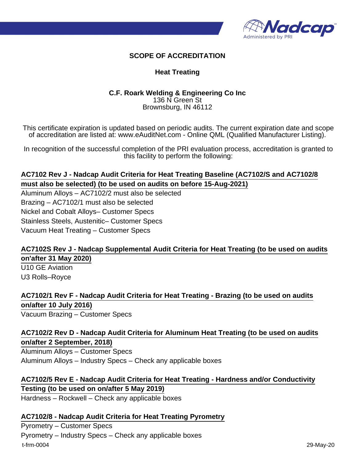

#### **SCOPE OF ACCREDITATION**

#### **Heat Treating**

#### **C.F. Roark Welding & Engineering Co Inc** 136 N Green St Brownsburg, IN 46112

This certificate expiration is updated based on periodic audits. The current expiration date and scope of accreditation are listed at: www.eAuditNet.com - Online QML (Qualified Manufacturer Listing).

In recognition of the successful completion of the PRI evaluation process, accreditation is granted to this facility to perform the following:

#### **AC7102 Rev J - Nadcap Audit Criteria for Heat Treating Baseline (AC7102/S and AC7102/8 must also be selected) (to be used on audits on before 15-Aug-2021)**

Aluminum Alloys – AC7102/2 must also be selected Brazing – AC7102/1 must also be selected Nickel and Cobalt Alloys– Customer Specs Stainless Steels, Austenitic– Customer Specs Vacuum Heat Treating – Customer Specs

#### **AC7102S Rev J - Nadcap Supplemental Audit Criteria for Heat Treating (to be used on audits on'after 31 May 2020)**

U10 GE Aviation U3 Rolls–Royce

### **AC7102/1 Rev F - Nadcap Audit Criteria for Heat Treating - Brazing (to be used on audits on/after 10 July 2016)**

Vacuum Brazing – Customer Specs

### **AC7102/2 Rev D - Nadcap Audit Criteria for Aluminum Heat Treating (to be used on audits on/after 2 September, 2018)**

Aluminum Alloys – Customer Specs Aluminum Alloys – Industry Specs – Check any applicable boxes

#### **AC7102/5 Rev E - Nadcap Audit Criteria for Heat Treating - Hardness and/or Conductivity Testing (to be used on on/after 5 May 2019)**

Hardness – Rockwell – Check any applicable boxes

#### **AC7102/8 - Nadcap Audit Criteria for Heat Treating Pyrometry**

Pyrometry – Customer Specs Pyrometry – Industry Specs – Check any applicable boxes t-frm-0004 29-May-20